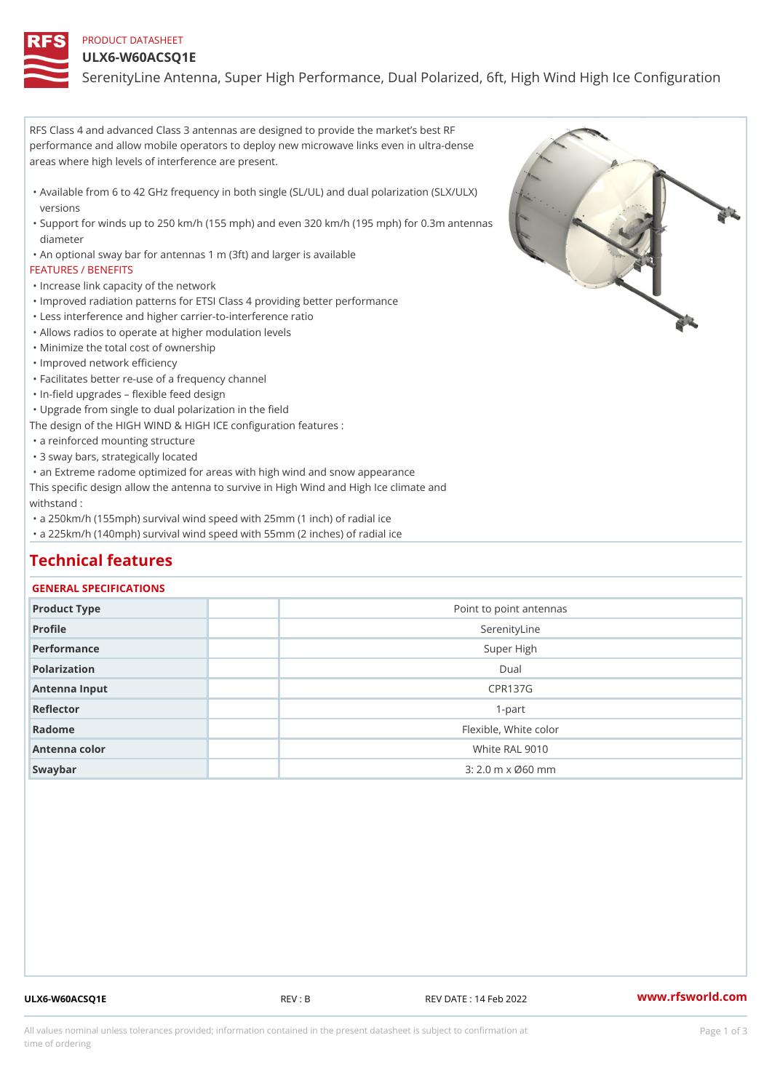### PRODUCT DATASHEET

### ULX6-W60ACSQ1E

SerenityLine Antenna, Super High Performance, Dual Polarized, 6ft, Hi

RFS Class 4 and advanced Class 3 antennas are designed to provide the market s best RF performance and allow mobile operators to deploy new microwave links even in ultra-dense areas where high levels of interference are present.

Available from 6 to 42 GHz frequency in both single (SL/UL) and dual polarization (SLX/ULX) " versions

Support for winds up to 250 km/h (155 mph) and even 320 km/h (195 mph) for 0.3m antennas " diameter

"An optional sway bar for antennas 1 m (3ft) and larger is available

### FEATURES / BENEFITS

"Increase link capacity of the network

- "Improved radiation patterns for ETSI Class 4 providing better performance
- "Less interference and higher carrier-to-interference ratio
- "Allows radios to operate at higher modulation levels
- "Minimize the total cost of ownership
- "Improved network efficiency
- "Facilitates better re-use of a frequency channel
- "In-field upgrades flexible feed design

"Upgrade from single to dual polarization in the field

The design of the HIGH WIND & HIGH ICE configuration features :

"a reinforced mounting structure

"3 sway bars, strategically located

"an Extreme radome optimized for areas with high wind and snow appearance

This specific design allow the antenna to survive in High Wind and High Ice climate and withstand :

"a 250km/h (155mph) survival wind speed with 25mm (1 inch) of radial ice

"a 225km/h (140mph) survival wind speed with 55mm (2 inches) of radial ice

# Technical features

### GENERAL SPECIFICATIONS

| Product Type  | Point to point antennas |
|---------------|-------------------------|
|               |                         |
| Profile       | SerenityLine            |
| Performance   | Super High              |
| Polarization  | $D$ ual                 |
| Antenna Input | CPR137G                 |
| Reflector     | $1-part$                |
| Radome        | Flexible, White color   |
| Antenna color | White RAL 9010          |
| Swaybar       | $3:2.0$ m x $060$ mm    |

ULX6-W60ACSQ1E REV : B REV DATE : 14 Feb 2022 [www.](https://www.rfsworld.com)rfsworld.com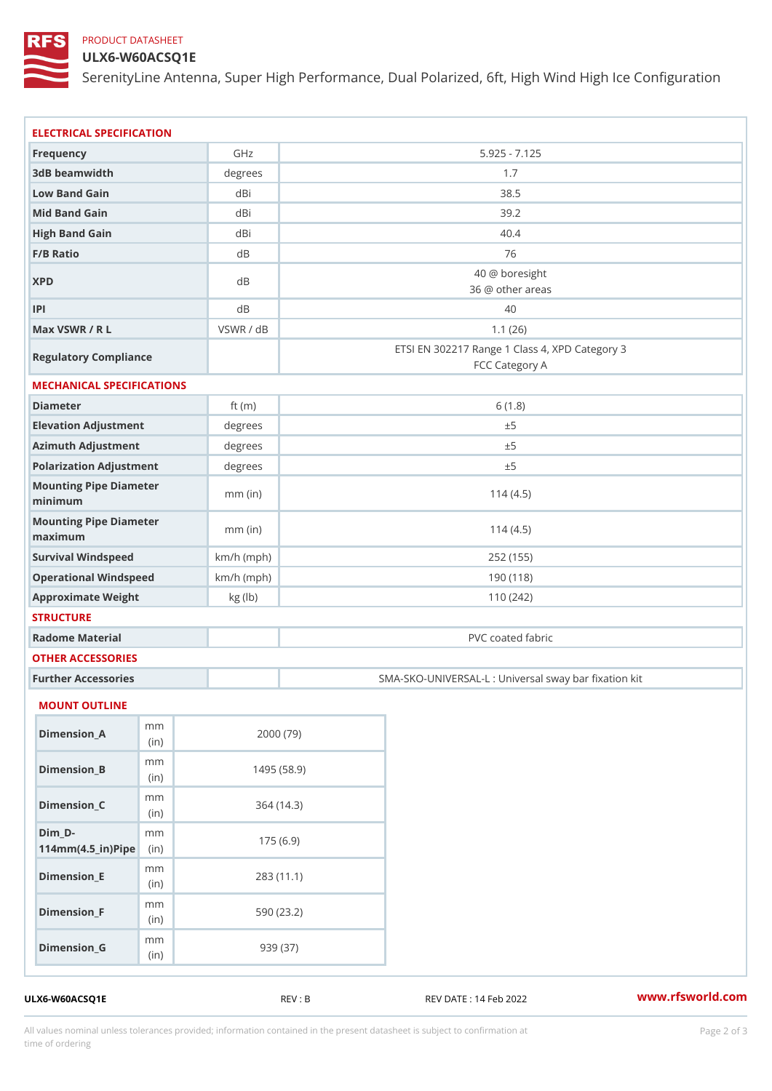# PRODUCT DATASHEET

## ULX6-W60ACSQ1E

SerenityLine Antenna, Super High Performance, Dual Polarized, 6ft, Hi

| ELECTRICAL SPECIFICATION                                                                      |                     |                                                                  |  |  |  |  |
|-----------------------------------------------------------------------------------------------|---------------------|------------------------------------------------------------------|--|--|--|--|
| Frequency                                                                                     | GHz                 | $5.925 - 7.125$                                                  |  |  |  |  |
| 3dB beamwidth                                                                                 | degrees             | 1.7                                                              |  |  |  |  |
| Low Band Gain                                                                                 | dBi                 | 38.5                                                             |  |  |  |  |
| Mid Band Gain                                                                                 | dBi                 | 39.2                                                             |  |  |  |  |
| High Band Gain                                                                                | dBi                 | 40.4                                                             |  |  |  |  |
| F/B Ratio                                                                                     | d <sub>B</sub>      | 76                                                               |  |  |  |  |
| <b>XPD</b>                                                                                    | d B                 | 40 @ boresight<br>36 @ other areas                               |  |  |  |  |
| P                                                                                             | d B                 | 40                                                               |  |  |  |  |
| Max VSWR / R L                                                                                | VSWR / dB           | 1.1(26)                                                          |  |  |  |  |
| Regulatory Compliance                                                                         |                     | ETSI EN 302217 Range 1 Class 4, XPD Category 3<br>FCC Category A |  |  |  |  |
| MECHANICAL SPECIFICATIONS                                                                     |                     |                                                                  |  |  |  |  |
| Diameter                                                                                      | ft $(m)$<br>6(1.8)  |                                                                  |  |  |  |  |
| Elevation Adjustment                                                                          | degree:             | ± 5                                                              |  |  |  |  |
| Azimuth Adjustment                                                                            | degrees             | ± 5                                                              |  |  |  |  |
| Polarization Adjustment                                                                       | degrees<br>± 5      |                                                                  |  |  |  |  |
| Mounting Pipe Diameter<br>minimum                                                             | $mm$ (in)           | 114(4.5)                                                         |  |  |  |  |
| Mounting Pipe Diameter<br>maximum                                                             | $mm$ (in)           | 114(4.5)                                                         |  |  |  |  |
| Survival Windspeed                                                                            | $km/h$ (mph)        | 252 (155)                                                        |  |  |  |  |
| Operational Windspeed                                                                         | $km/h$ (mph)        | 190 (118)                                                        |  |  |  |  |
| Approximate Weight                                                                            | kg (lb)<br>110(242) |                                                                  |  |  |  |  |
| <b>STRUCTURE</b>                                                                              |                     |                                                                  |  |  |  |  |
| Radome Material                                                                               |                     | PVC coated fabric                                                |  |  |  |  |
| OTHER ACCESSORIES                                                                             |                     |                                                                  |  |  |  |  |
| Further Accessories                                                                           |                     | SMA-SKO-UNIVERSAL-L : Universal sway bar fixation                |  |  |  |  |
|                                                                                               |                     |                                                                  |  |  |  |  |
| MOUNT OUTLINE                                                                                 |                     |                                                                  |  |  |  |  |
| $\ensuremath{\mathsf{m}}\xspace\ensuremath{\mathsf{m}}\xspace$<br>$D$ imension $\_$ A<br>(in) |                     | 2000(79)                                                         |  |  |  |  |
| m m<br>$Dimen sion_B$<br>(in                                                                  |                     | 1495(58.9)                                                       |  |  |  |  |
| m m<br>$Dimension_C$<br>(in)                                                                  |                     | 364 (14.3)                                                       |  |  |  |  |
| $Dim_D - D -$<br>m m<br>$114$ m m (4.5 _ ir ) $\mathbb{R}$ imple                              |                     | 175(6.9)                                                         |  |  |  |  |
| m m<br>$Dimension$ = E<br>(in)                                                                |                     | 283 (11.1)                                                       |  |  |  |  |
| m m<br>$Dimension_F$<br>(i n)                                                                 |                     | 590 (23.2)                                                       |  |  |  |  |
| m m<br>$Dimen sion_G$<br>(in)                                                                 | 939 (37)            |                                                                  |  |  |  |  |

ULX6-W60ACSQ1E REV : B REV DATE : 14 Feb 2022 [www.](https://www.rfsworld.com)rfsworld.com